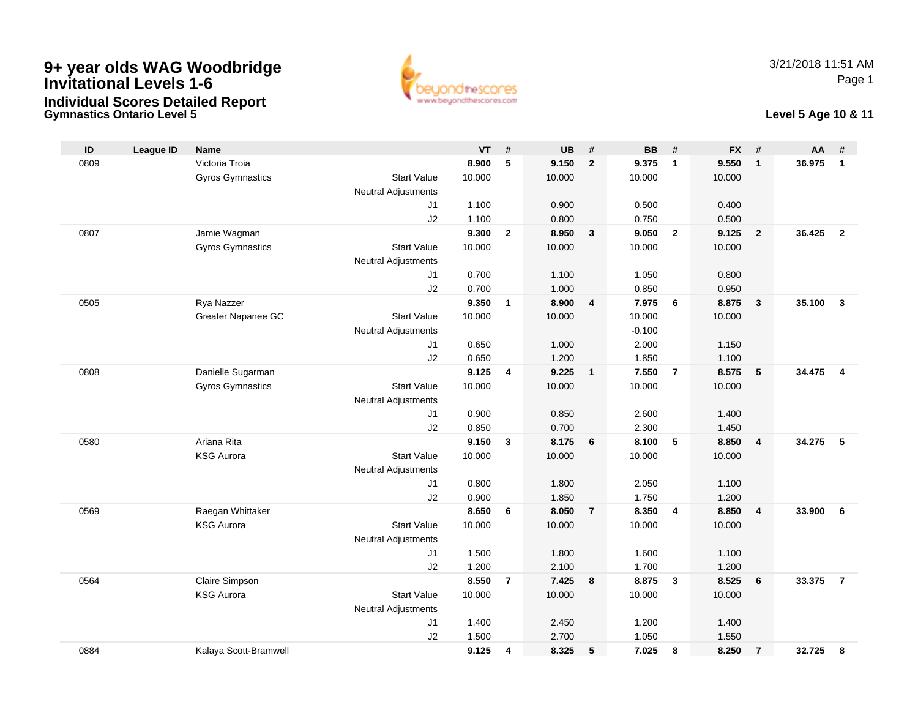# **9+ year olds WAG Woodbridge Invitational Levels 1-6**



#### **Gymnastics Ontario Level 5Individual Scores Detailed Report**

### **Level 5 Age 10 & 11**

| ID   | <b>League ID</b> | <b>Name</b>             |                            | <b>VT</b>      | #              | <b>UB</b>      | #                       | <b>BB</b>      | #                       | <b>FX</b>      | #                       | AA     | #                       |
|------|------------------|-------------------------|----------------------------|----------------|----------------|----------------|-------------------------|----------------|-------------------------|----------------|-------------------------|--------|-------------------------|
| 0809 |                  | Victoria Troia          |                            | 8.900          | 5              | 9.150          | $\overline{2}$          | 9.375          | $\mathbf{1}$            | 9.550          | $\mathbf{1}$            | 36.975 | $\mathbf{1}$            |
|      |                  | <b>Gyros Gymnastics</b> | <b>Start Value</b>         | 10.000         |                | 10.000         |                         | 10.000         |                         | 10.000         |                         |        |                         |
|      |                  |                         | Neutral Adjustments        |                |                |                |                         |                |                         |                |                         |        |                         |
|      |                  |                         | J <sub>1</sub>             | 1.100          |                | 0.900          |                         | 0.500          |                         | 0.400          |                         |        |                         |
|      |                  |                         | J2                         | 1.100          |                | 0.800          |                         | 0.750          |                         | 0.500          |                         |        |                         |
| 0807 |                  | Jamie Wagman            |                            | 9.300          | $\mathbf{2}$   | 8.950          | $\mathbf{3}$            | 9.050          | $\overline{2}$          | 9.125          | $\overline{2}$          | 36.425 | $\overline{2}$          |
|      |                  | <b>Gyros Gymnastics</b> | <b>Start Value</b>         | 10.000         |                | 10.000         |                         | 10.000         |                         | 10.000         |                         |        |                         |
|      |                  |                         | Neutral Adjustments        |                |                |                |                         |                |                         |                |                         |        |                         |
|      |                  |                         | J1                         | 0.700          |                | 1.100          |                         | 1.050          |                         | 0.800          |                         |        |                         |
|      |                  |                         | J2                         | 0.700          |                | 1.000          |                         | 0.850          |                         | 0.950          |                         |        |                         |
| 0505 |                  | Rya Nazzer              |                            | 9.350          | $\mathbf{1}$   | 8.900          | $\overline{\mathbf{4}}$ | 7.975          | 6                       | 8.875          | $\overline{\mathbf{3}}$ | 35.100 | $\overline{\mathbf{3}}$ |
|      |                  | Greater Napanee GC      | <b>Start Value</b>         | 10.000         |                | 10.000         |                         | 10.000         |                         | 10.000         |                         |        |                         |
|      |                  |                         | Neutral Adjustments        |                |                |                |                         | $-0.100$       |                         |                |                         |        |                         |
|      |                  |                         | J1                         | 0.650          |                | 1.000          |                         | 2.000          |                         | 1.150          |                         |        |                         |
|      |                  |                         | J2                         | 0.650          |                | 1.200          |                         | 1.850          |                         | 1.100          |                         |        |                         |
| 0808 |                  | Danielle Sugarman       |                            | 9.125          | 4              | 9.225          | $\mathbf{1}$            | 7.550          | $\overline{7}$          | 8.575          | 5                       | 34.475 | $\overline{\mathbf{4}}$ |
|      |                  | <b>Gyros Gymnastics</b> | <b>Start Value</b>         | 10.000         |                | 10.000         |                         | 10.000         |                         | 10.000         |                         |        |                         |
|      |                  |                         | Neutral Adjustments        |                |                |                |                         |                |                         |                |                         |        |                         |
|      |                  |                         | J1                         | 0.900          |                | 0.850          |                         | 2.600          |                         | 1.400          |                         |        |                         |
| 0580 |                  | Ariana Rita             | J2                         | 0.850<br>9.150 | $\mathbf{3}$   | 0.700<br>8.175 | 6                       | 2.300<br>8.100 | 5                       | 1.450<br>8.850 | $\overline{4}$          | 34.275 | 5                       |
|      |                  | <b>KSG Aurora</b>       | <b>Start Value</b>         | 10.000         |                | 10.000         |                         | 10.000         |                         | 10.000         |                         |        |                         |
|      |                  |                         | <b>Neutral Adjustments</b> |                |                |                |                         |                |                         |                |                         |        |                         |
|      |                  |                         | J <sub>1</sub>             | 0.800          |                | 1.800          |                         | 2.050          |                         | 1.100          |                         |        |                         |
|      |                  |                         | J2                         | 0.900          |                | 1.850          |                         | 1.750          |                         | 1.200          |                         |        |                         |
| 0569 |                  | Raegan Whittaker        |                            | 8.650          | 6              | 8.050          | $\overline{7}$          | 8.350          | $\overline{\mathbf{4}}$ | 8.850          | $\overline{4}$          | 33.900 | 6                       |
|      |                  | <b>KSG Aurora</b>       | <b>Start Value</b>         | 10.000         |                | 10.000         |                         | 10.000         |                         | 10.000         |                         |        |                         |
|      |                  |                         | Neutral Adjustments        |                |                |                |                         |                |                         |                |                         |        |                         |
|      |                  |                         | J <sub>1</sub>             | 1.500          |                | 1.800          |                         | 1.600          |                         | 1.100          |                         |        |                         |
|      |                  |                         | J2                         | 1.200          |                | 2.100          |                         | 1.700          |                         | 1.200          |                         |        |                         |
| 0564 |                  | Claire Simpson          |                            | 8.550          | $\overline{7}$ | 7.425          | 8                       | 8.875          | $\mathbf{3}$            | 8.525          | 6                       | 33.375 | $\overline{7}$          |
|      |                  | <b>KSG Aurora</b>       | <b>Start Value</b>         | 10.000         |                | 10.000         |                         | 10.000         |                         | 10.000         |                         |        |                         |
|      |                  |                         | Neutral Adjustments        |                |                |                |                         |                |                         |                |                         |        |                         |
|      |                  |                         | J <sub>1</sub>             | 1.400          |                | 2.450          |                         | 1.200          |                         | 1.400          |                         |        |                         |
|      |                  |                         | J2                         | 1.500          |                | 2.700          |                         | 1.050          |                         | 1.550          |                         |        |                         |
| 0884 |                  | Kalaya Scott-Bramwell   |                            | 9.125          | 4              | 8.325          | 5                       | 7.025          | 8                       | 8.250          | $\overline{7}$          | 32.725 | 8                       |
|      |                  |                         |                            |                |                |                |                         |                |                         |                |                         |        |                         |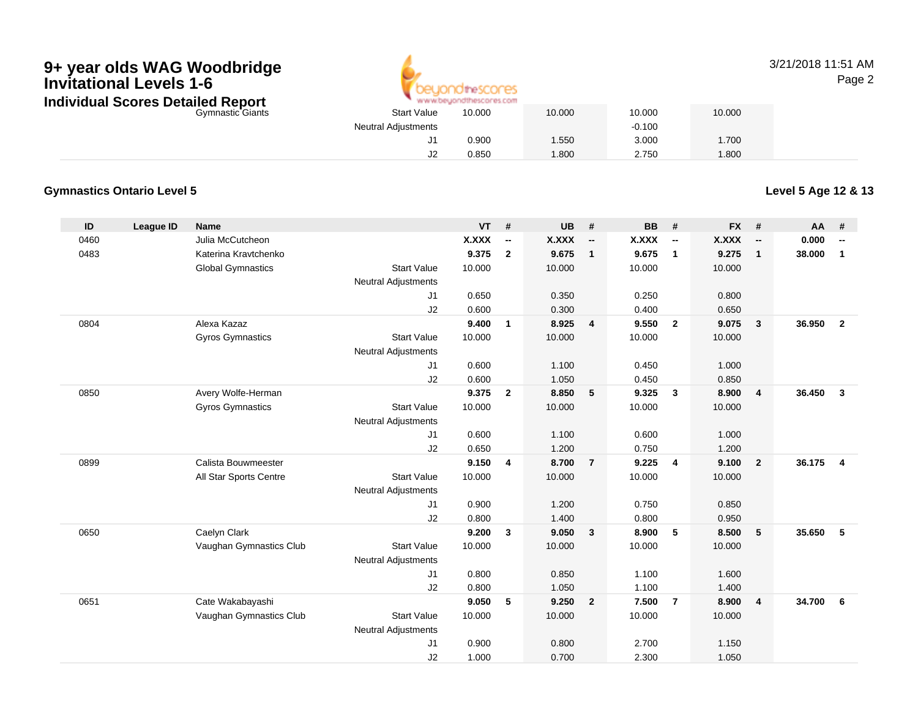# **9+ year olds WAG Woodbridge Invitational Levels 1-6Individual Scores Detailed Report**



3/21/2018 11:51 AMPage 2

| iea Report       |                     | ARE ARE ARRAINED FOR AN ARRAINING WAS COMMI- |        |          |        |  |  |  |
|------------------|---------------------|----------------------------------------------|--------|----------|--------|--|--|--|
| Gymnastic Giants | <b>Start Value</b>  | 10.000                                       | 10.000 | 10.000   | 10.000 |  |  |  |
|                  | Neutral Adjustments |                                              |        | $-0.100$ |        |  |  |  |
|                  |                     | 0.900                                        | 1.550  | 3.000    | 1.700  |  |  |  |
|                  | J2                  | 0.850                                        | .800   | 2.750    | .800   |  |  |  |
|                  |                     |                                              |        |          |        |  |  |  |

### **Gymnastics Ontario Level 5**

**Level 5 Age 12 & 13**

| ID   | <b>League ID</b> | <b>Name</b>              |                            | <b>VT</b>    | #              | <b>UB</b>    | #                        | <b>BB</b>    | #                        | <b>FX</b>    | #                        | AA     | #                        |
|------|------------------|--------------------------|----------------------------|--------------|----------------|--------------|--------------------------|--------------|--------------------------|--------------|--------------------------|--------|--------------------------|
| 0460 |                  | Julia McCutcheon         |                            | <b>X.XXX</b> | --             | <b>X.XXX</b> | $\overline{\phantom{a}}$ | <b>X.XXX</b> | $\overline{\phantom{a}}$ | <b>X.XXX</b> | $\overline{\phantom{a}}$ | 0.000  | $\overline{\phantom{a}}$ |
| 0483 |                  | Katerina Kravtchenko     |                            | 9.375        | $\mathbf{2}$   | 9.675        | $\mathbf{1}$             | 9.675        | $\mathbf{1}$             | 9.275        | $\mathbf{1}$             | 38.000 | $\mathbf{1}$             |
|      |                  | <b>Global Gymnastics</b> | <b>Start Value</b>         | 10.000       |                | 10.000       |                          | 10.000       |                          | 10.000       |                          |        |                          |
|      |                  |                          | <b>Neutral Adjustments</b> |              |                |              |                          |              |                          |              |                          |        |                          |
|      |                  |                          | J1                         | 0.650        |                | 0.350        |                          | 0.250        |                          | 0.800        |                          |        |                          |
|      |                  |                          | J2                         | 0.600        |                | 0.300        |                          | 0.400        |                          | 0.650        |                          |        |                          |
| 0804 |                  | Alexa Kazaz              |                            | 9.400        | $\mathbf{1}$   | 8.925        | $\overline{4}$           | 9.550        | $\overline{2}$           | 9.075        | $\overline{\mathbf{3}}$  | 36.950 | $\overline{2}$           |
|      |                  | <b>Gyros Gymnastics</b>  | <b>Start Value</b>         | 10.000       |                | 10.000       |                          | 10.000       |                          | 10.000       |                          |        |                          |
|      |                  |                          | Neutral Adjustments        |              |                |              |                          |              |                          |              |                          |        |                          |
|      |                  |                          | J1                         | 0.600        |                | 1.100        |                          | 0.450        |                          | 1.000        |                          |        |                          |
|      |                  |                          | J2                         | 0.600        |                | 1.050        |                          | 0.450        |                          | 0.850        |                          |        |                          |
| 0850 |                  | Avery Wolfe-Herman       |                            | 9.375        | $\overline{2}$ | 8.850        | 5                        | 9.325        | $\mathbf{3}$             | 8.900        | $\overline{4}$           | 36.450 | $\overline{\mathbf{3}}$  |
|      |                  | <b>Gyros Gymnastics</b>  | <b>Start Value</b>         | 10.000       |                | 10.000       |                          | 10.000       |                          | 10.000       |                          |        |                          |
|      |                  |                          | <b>Neutral Adjustments</b> |              |                |              |                          |              |                          |              |                          |        |                          |
|      |                  |                          | J1                         | 0.600        |                | 1.100        |                          | 0.600        |                          | 1.000        |                          |        |                          |
|      |                  |                          | J2                         | 0.650        |                | 1.200        |                          | 0.750        |                          | 1.200        |                          |        |                          |
| 0899 |                  | Calista Bouwmeester      |                            | 9.150        | 4              | 8.700        | $\overline{7}$           | 9.225        | $\overline{4}$           | 9.100        | $\overline{\mathbf{2}}$  | 36.175 | $\overline{4}$           |
|      |                  | All Star Sports Centre   | <b>Start Value</b>         | 10.000       |                | 10.000       |                          | 10.000       |                          | 10.000       |                          |        |                          |
|      |                  |                          | <b>Neutral Adjustments</b> |              |                |              |                          |              |                          |              |                          |        |                          |
|      |                  |                          | J1                         | 0.900        |                | 1.200        |                          | 0.750        |                          | 0.850        |                          |        |                          |
|      |                  |                          | J2                         | 0.800        |                | 1.400        |                          | 0.800        |                          | 0.950        |                          |        |                          |
| 0650 |                  | Caelyn Clark             |                            | 9.200        | 3              | 9.050        | $\mathbf{3}$             | 8.900        | 5                        | 8.500        | 5                        | 35.650 | -5                       |
|      |                  | Vaughan Gymnastics Club  | <b>Start Value</b>         | 10.000       |                | 10.000       |                          | 10.000       |                          | 10.000       |                          |        |                          |
|      |                  |                          | <b>Neutral Adjustments</b> |              |                |              |                          |              |                          |              |                          |        |                          |
|      |                  |                          | J1                         | 0.800        |                | 0.850        |                          | 1.100        |                          | 1.600        |                          |        |                          |
|      |                  |                          | J2                         | 0.800        |                | 1.050        |                          | 1.100        |                          | 1.400        |                          |        |                          |
| 0651 |                  | Cate Wakabayashi         |                            | 9.050        | 5              | 9.250        | $\overline{2}$           | 7.500        | $\overline{7}$           | 8.900        | $\overline{4}$           | 34.700 | 6                        |
|      |                  | Vaughan Gymnastics Club  | <b>Start Value</b>         | 10.000       |                | 10.000       |                          | 10.000       |                          | 10.000       |                          |        |                          |
|      |                  |                          | <b>Neutral Adjustments</b> |              |                |              |                          |              |                          |              |                          |        |                          |
|      |                  |                          | J1                         | 0.900        |                | 0.800        |                          | 2.700        |                          | 1.150        |                          |        |                          |
|      |                  |                          | J2                         | 1.000        |                | 0.700        |                          | 2.300        |                          | 1.050        |                          |        |                          |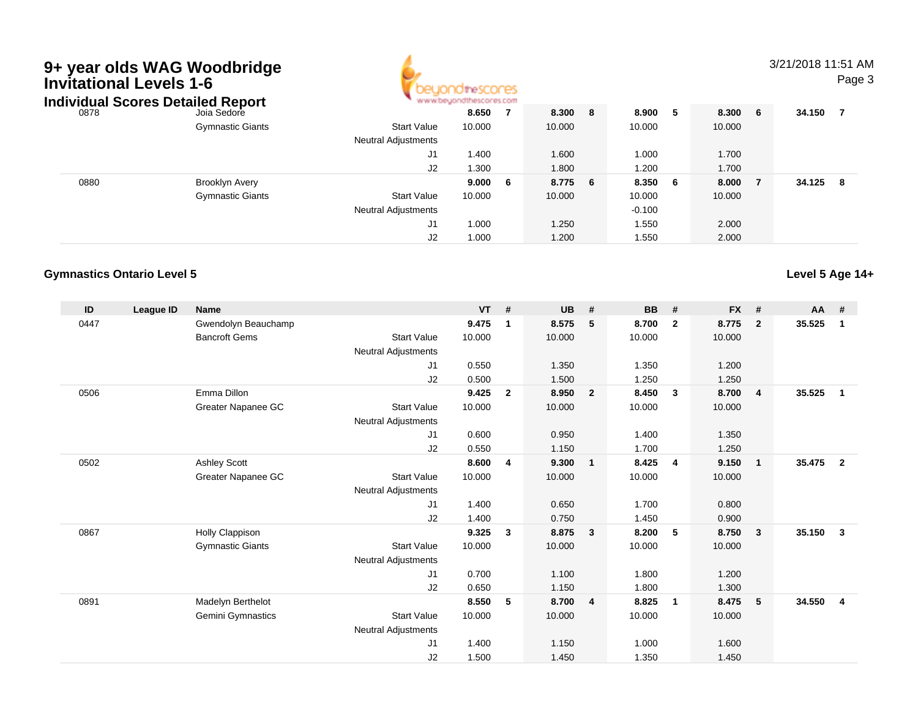| <b>Invitational Levels 1-6</b> | 9+ year olds WAG Woodbridge<br><b>Individual Scores Detailed Report</b> |                                                  |        |     |         |     |          |     |         |   | 3/21/2018 11:51 AM | Page 3 |
|--------------------------------|-------------------------------------------------------------------------|--------------------------------------------------|--------|-----|---------|-----|----------|-----|---------|---|--------------------|--------|
| 0878                           | Joia Sedore                                                             |                                                  | 8.650  | - 7 | 8.300   | - 8 | 8.900    | - 5 | 8.300 6 |   | 34.150 7           |        |
|                                | <b>Gymnastic Giants</b>                                                 | <b>Start Value</b><br><b>Neutral Adjustments</b> | 10.000 |     | 10.000  |     | 10.000   |     | 10.000  |   |                    |        |
|                                |                                                                         | J <sub>1</sub>                                   | 1.400  |     | 1.600   |     | 1.000    |     | 1.700   |   |                    |        |
|                                |                                                                         | J <sub>2</sub>                                   | 1.300  |     | 1.800   |     | 1.200    |     | 1.700   |   |                    |        |
| 0880                           | <b>Brooklyn Avery</b>                                                   |                                                  | 9.000  | - 6 | 8.775 6 |     | 8.350    | - 6 | 8.000   | 7 | 34.125             | - 8    |
|                                | <b>Gymnastic Giants</b>                                                 | <b>Start Value</b>                               | 10.000 |     | 10.000  |     | 10.000   |     | 10.000  |   |                    |        |
|                                |                                                                         | <b>Neutral Adjustments</b>                       |        |     |         |     | $-0.100$ |     |         |   |                    |        |
|                                |                                                                         | J1                                               | 1.000  |     | 1.250   |     | 1.550    |     | 2.000   |   |                    |        |
|                                |                                                                         | J2                                               | 1.000  |     | 1.200   |     | 1.550    |     | 2.000   |   |                    |        |

**Level 5 Age 14+**

## **Gymnastics Ontario Level 5**

| ID   | <b>League ID</b> | <b>Name</b>             |                            | <b>VT</b> | #            | <b>UB</b> | #                       | <b>BB</b> | #              | <b>FX</b> | #              | $AA$ # |                |
|------|------------------|-------------------------|----------------------------|-----------|--------------|-----------|-------------------------|-----------|----------------|-----------|----------------|--------|----------------|
| 0447 |                  | Gwendolyn Beauchamp     |                            | 9.475     | 1            | 8.575     | 5                       | 8.700     | $\overline{2}$ | 8.775     | $\overline{2}$ | 35.525 | $\mathbf{1}$   |
|      |                  | <b>Bancroft Gems</b>    | <b>Start Value</b>         | 10.000    |              | 10.000    |                         | 10.000    |                | 10.000    |                |        |                |
|      |                  |                         | <b>Neutral Adjustments</b> |           |              |           |                         |           |                |           |                |        |                |
|      |                  |                         | J1                         | 0.550     |              | 1.350     |                         | 1.350     |                | 1.200     |                |        |                |
|      |                  |                         | J2                         | 0.500     |              | 1.500     |                         | 1.250     |                | 1.250     |                |        |                |
| 0506 |                  | Emma Dillon             |                            | 9.425     | $\mathbf{2}$ | 8.950     | $\overline{2}$          | 8.450     | $\mathbf{3}$   | 8.700     | $\overline{4}$ | 35.525 | $\mathbf{1}$   |
|      |                  | Greater Napanee GC      | <b>Start Value</b>         | 10.000    |              | 10.000    |                         | 10.000    |                | 10.000    |                |        |                |
|      |                  |                         | <b>Neutral Adjustments</b> |           |              |           |                         |           |                |           |                |        |                |
|      |                  |                         | J1                         | 0.600     |              | 0.950     |                         | 1.400     |                | 1.350     |                |        |                |
|      |                  |                         | J2                         | 0.550     |              | 1.150     |                         | 1.700     |                | 1.250     |                |        |                |
| 0502 |                  | Ashley Scott            |                            | 8.600     | 4            | 9.300     | $\mathbf{1}$            | 8.425     | $\overline{4}$ | 9.150     | $\overline{1}$ | 35.475 | $\overline{2}$ |
|      |                  | Greater Napanee GC      | <b>Start Value</b>         | 10.000    |              | 10.000    |                         | 10.000    |                | 10.000    |                |        |                |
|      |                  |                         | <b>Neutral Adjustments</b> |           |              |           |                         |           |                |           |                |        |                |
|      |                  |                         | J1                         | 1.400     |              | 0.650     |                         | 1.700     |                | 0.800     |                |        |                |
|      |                  |                         | J2                         | 1.400     |              | 0.750     |                         | 1.450     |                | 0.900     |                |        |                |
| 0867 |                  | Holly Clappison         |                            | 9.325     | $\mathbf{3}$ | 8.875     | $\overline{\mathbf{3}}$ | 8.200     | 5              | 8.750     | $\mathbf{3}$   | 35.150 | $\mathbf{3}$   |
|      |                  | <b>Gymnastic Giants</b> | <b>Start Value</b>         | 10.000    |              | 10.000    |                         | 10.000    |                | 10.000    |                |        |                |
|      |                  |                         | <b>Neutral Adjustments</b> |           |              |           |                         |           |                |           |                |        |                |
|      |                  |                         | J1                         | 0.700     |              | 1.100     |                         | 1.800     |                | 1.200     |                |        |                |
|      |                  |                         | J2                         | 0.650     |              | 1.150     |                         | 1.800     |                | 1.300     |                |        |                |
| 0891 |                  | Madelyn Berthelot       |                            | 8.550     | 5            | 8.700     | $\overline{4}$          | 8.825     | $\overline{1}$ | 8.475     | 5              | 34.550 | $\overline{4}$ |
|      |                  | Gemini Gymnastics       | <b>Start Value</b>         | 10.000    |              | 10.000    |                         | 10.000    |                | 10.000    |                |        |                |
|      |                  |                         | <b>Neutral Adjustments</b> |           |              |           |                         |           |                |           |                |        |                |
|      |                  |                         | J1                         | 1.400     |              | 1.150     |                         | 1.000     |                | 1.600     |                |        |                |
|      |                  |                         | J <sub>2</sub>             | 1.500     |              | 1.450     |                         | 1.350     |                | 1.450     |                |        |                |